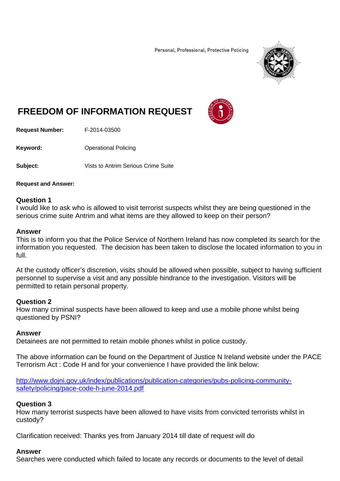Personal, Professional, Protective Policing



# **FREEDOM OF INFORMATION REQUEST**



**Request Number:** F-2014-03500

**Keyword: C**Derational Policing

**Subject:** Vists to Antrim Serious Crime Suite

### **Request and Answer:**

# **Question 1**

I would like to ask who is allowed to visit terrorist suspects whilst they are being questioned in the serious crime suite Antrim and what items are they allowed to keep on their person?

### **Answer**

This is to inform you that the Police Service of Northern Ireland has now completed its search for the information you requested. The decision has been taken to disclose the located information to you in full.

At the custody officer's discretion, visits should be allowed when possible, subject to having sufficient personnel to supervise a visit and any possible hindrance to the investigation. Visitors will be permitted to retain personal property.

# **Question 2**

How many criminal suspects have been allowed to keep and use a mobile phone whilst being questioned by PSNI?

# **Answer**

Detainees are not permitted to retain mobile phones whilst in police custody.

The above information can be found on the Department of Justice N Ireland website under the PACE Terrorism Act : Code H and for your convenience I have provided the link below:

http://www.dojni.gov.uk/index/publications/publication-categories/pubs-policing-communitysafety/policing/pace-code-h-june-2014.pdf

# **Question 3**

How many terrorist suspects have been allowed to have visits from convicted terrorists whilst in custody?

Clarification received: Thanks yes from January 2014 till date of request will do

# **Answer**

Searches were conducted which failed to locate any records or documents to the level of detail